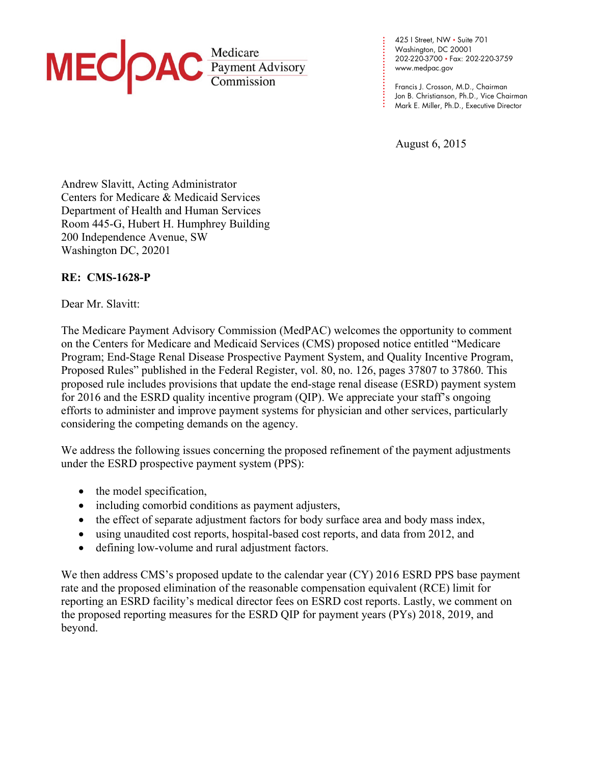

425 I Street, NW • Suite 701 Washington, DC 20001 202-220-3700 • Fax: 202-220-3759 www.medpac.gov

**. . .**  Francis J. Crosson, M.D., Chairman Jon B. Christianson, Ph.D., Vice Chairman Mark E. Miller, Ph.D., Executive Director

August 6, 2015

**. . . . . . . . . . . . . . . .** 

**. . . . .**

Andrew Slavitt, Acting Administrator Centers for Medicare & Medicaid Services Department of Health and Human Services Room 445-G, Hubert H. Humphrey Building 200 Independence Avenue, SW Washington DC, 20201

## **RE: CMS-1628-P**

Dear Mr. Slavitt:

The Medicare Payment Advisory Commission (MedPAC) welcomes the opportunity to comment on the Centers for Medicare and Medicaid Services (CMS) proposed notice entitled "Medicare Program; End-Stage Renal Disease Prospective Payment System, and Quality Incentive Program, Proposed Rules" published in the Federal Register, vol. 80, no. 126, pages 37807 to 37860. This proposed rule includes provisions that update the end-stage renal disease (ESRD) payment system for 2016 and the ESRD quality incentive program (QIP). We appreciate your staff's ongoing efforts to administer and improve payment systems for physician and other services, particularly considering the competing demands on the agency.

We address the following issues concerning the proposed refinement of the payment adjustments under the ESRD prospective payment system (PPS):

- the model specification,
- including comorbid conditions as payment adjusters,
- the effect of separate adjustment factors for body surface area and body mass index,
- using unaudited cost reports, hospital-based cost reports, and data from 2012, and
- defining low-volume and rural adjustment factors.

We then address CMS's proposed update to the calendar year (CY) 2016 ESRD PPS base payment rate and the proposed elimination of the reasonable compensation equivalent (RCE) limit for reporting an ESRD facility's medical director fees on ESRD cost reports. Lastly, we comment on the proposed reporting measures for the ESRD QIP for payment years (PYs) 2018, 2019, and beyond.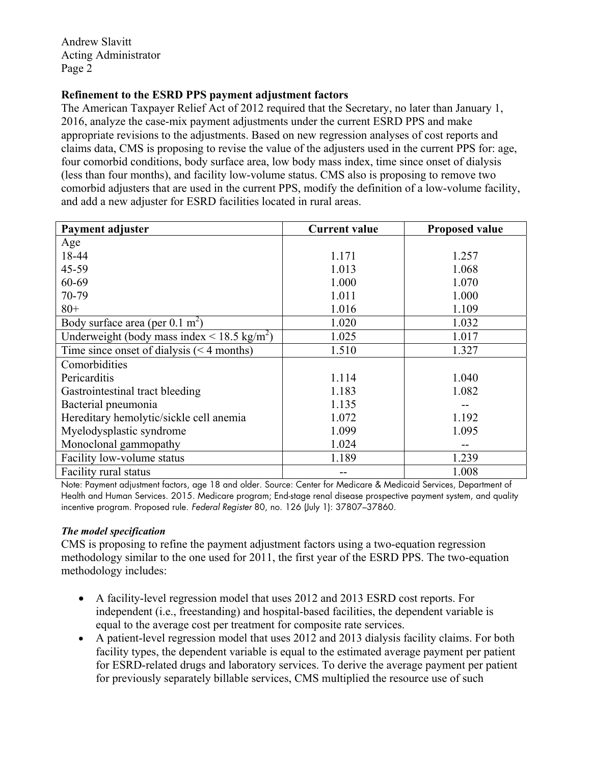## **Refinement to the ESRD PPS payment adjustment factors**

The American Taxpayer Relief Act of 2012 required that the Secretary, no later than January 1, 2016, analyze the case-mix payment adjustments under the current ESRD PPS and make appropriate revisions to the adjustments. Based on new regression analyses of cost reports and claims data, CMS is proposing to revise the value of the adjusters used in the current PPS for: age, four comorbid conditions, body surface area, low body mass index, time since onset of dialysis (less than four months), and facility low-volume status. CMS also is proposing to remove two comorbid adjusters that are used in the current PPS, modify the definition of a low-volume facility, and add a new adjuster for ESRD facilities located in rural areas.

| Payment adjuster                                       | <b>Current value</b> | <b>Proposed value</b> |
|--------------------------------------------------------|----------------------|-----------------------|
| Age                                                    |                      |                       |
| 18-44                                                  | 1.171                | 1.257                 |
| 45-59                                                  | 1.013                | 1.068                 |
| 60-69                                                  | 1.000                | 1.070                 |
| 70-79                                                  | 1.011                | 1.000                 |
| $80+$                                                  | 1.016                | 1.109                 |
| Body surface area (per $0.1 \text{ m}^2$ )             | 1.020                | 1.032                 |
| Underweight (body mass index < $18.5 \text{ kg/m}^2$ ) | 1.025                | 1.017                 |
| Time since onset of dialysis $(< 4$ months)            | 1.510                | 1.327                 |
| Comorbidities                                          |                      |                       |
| Pericarditis                                           | 1.114                | 1.040                 |
| Gastrointestinal tract bleeding                        | 1.183                | 1.082                 |
| Bacterial pneumonia                                    | 1.135                |                       |
| Hereditary hemolytic/sickle cell anemia                | 1.072                | 1.192                 |
| Myelodysplastic syndrome                               | 1.099                | 1.095                 |
| Monoclonal gammopathy                                  | 1.024                |                       |
| Facility low-volume status                             | 1.189                | 1.239                 |
| Facility rural status                                  |                      | 1.008                 |

Note: Payment adjustment factors, age 18 and older. Source: Center for Medicare & Medicaid Services, Department of Health and Human Services. 2015. Medicare program; End-stage renal disease prospective payment system, and quality incentive program. Proposed rule. Federal Register 80, no. 126 (July 1): 37807–37860.

#### *The model specification*

CMS is proposing to refine the payment adjustment factors using a two-equation regression methodology similar to the one used for 2011, the first year of the ESRD PPS. The two-equation methodology includes:

- A facility-level regression model that uses 2012 and 2013 ESRD cost reports. For independent (i.e., freestanding) and hospital-based facilities, the dependent variable is equal to the average cost per treatment for composite rate services.
- A patient-level regression model that uses 2012 and 2013 dialysis facility claims. For both facility types, the dependent variable is equal to the estimated average payment per patient for ESRD-related drugs and laboratory services. To derive the average payment per patient for previously separately billable services, CMS multiplied the resource use of such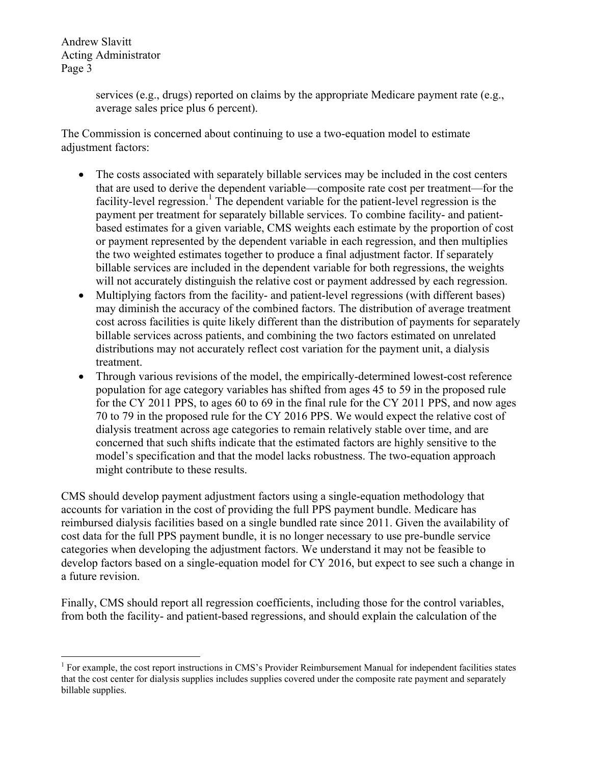1

services (e.g., drugs) reported on claims by the appropriate Medicare payment rate (e.g., average sales price plus 6 percent).

The Commission is concerned about continuing to use a two-equation model to estimate adjustment factors:

- The costs associated with separately billable services may be included in the cost centers that are used to derive the dependent variable—composite rate cost per treatment—for the facility-level regression.<sup>1</sup> The dependent variable for the patient-level regression is the payment per treatment for separately billable services. To combine facility- and patientbased estimates for a given variable, CMS weights each estimate by the proportion of cost or payment represented by the dependent variable in each regression, and then multiplies the two weighted estimates together to produce a final adjustment factor. If separately billable services are included in the dependent variable for both regressions, the weights will not accurately distinguish the relative cost or payment addressed by each regression.
- Multiplying factors from the facility- and patient-level regressions (with different bases) may diminish the accuracy of the combined factors. The distribution of average treatment cost across facilities is quite likely different than the distribution of payments for separately billable services across patients, and combining the two factors estimated on unrelated distributions may not accurately reflect cost variation for the payment unit, a dialysis treatment.
- Through various revisions of the model, the empirically-determined lowest-cost reference population for age category variables has shifted from ages 45 to 59 in the proposed rule for the CY 2011 PPS, to ages 60 to 69 in the final rule for the CY 2011 PPS, and now ages 70 to 79 in the proposed rule for the CY 2016 PPS. We would expect the relative cost of dialysis treatment across age categories to remain relatively stable over time, and are concerned that such shifts indicate that the estimated factors are highly sensitive to the model's specification and that the model lacks robustness. The two-equation approach might contribute to these results.

CMS should develop payment adjustment factors using a single-equation methodology that accounts for variation in the cost of providing the full PPS payment bundle. Medicare has reimbursed dialysis facilities based on a single bundled rate since 2011. Given the availability of cost data for the full PPS payment bundle, it is no longer necessary to use pre-bundle service categories when developing the adjustment factors. We understand it may not be feasible to develop factors based on a single-equation model for CY 2016, but expect to see such a change in a future revision.

Finally, CMS should report all regression coefficients, including those for the control variables, from both the facility- and patient-based regressions, and should explain the calculation of the

<sup>&</sup>lt;sup>1</sup> For example, the cost report instructions in CMS's Provider Reimbursement Manual for independent facilities states that the cost center for dialysis supplies includes supplies covered under the composite rate payment and separately billable supplies.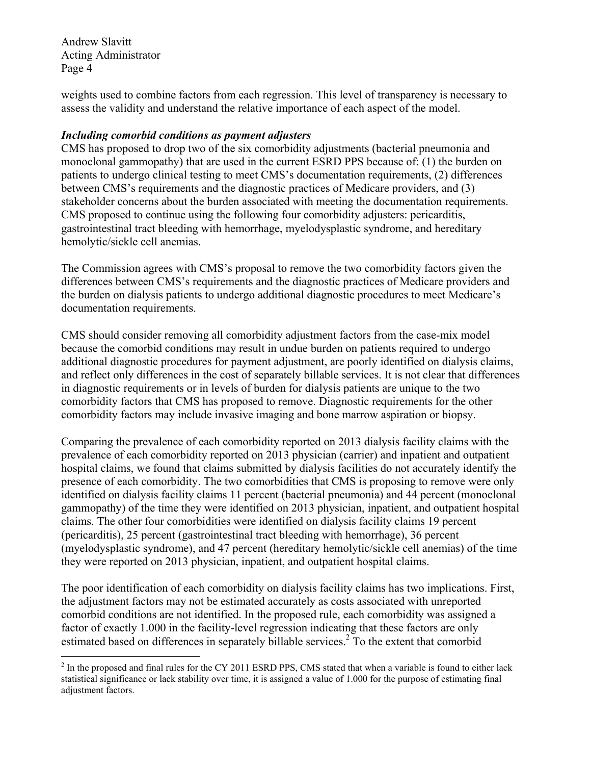weights used to combine factors from each regression. This level of transparency is necessary to assess the validity and understand the relative importance of each aspect of the model.

# *Including comorbid conditions as payment adjusters*

CMS has proposed to drop two of the six comorbidity adjustments (bacterial pneumonia and monoclonal gammopathy) that are used in the current ESRD PPS because of: (1) the burden on patients to undergo clinical testing to meet CMS's documentation requirements, (2) differences between CMS's requirements and the diagnostic practices of Medicare providers, and (3) stakeholder concerns about the burden associated with meeting the documentation requirements. CMS proposed to continue using the following four comorbidity adjusters: pericarditis, gastrointestinal tract bleeding with hemorrhage, myelodysplastic syndrome, and hereditary hemolytic/sickle cell anemias.

The Commission agrees with CMS's proposal to remove the two comorbidity factors given the differences between CMS's requirements and the diagnostic practices of Medicare providers and the burden on dialysis patients to undergo additional diagnostic procedures to meet Medicare's documentation requirements.

CMS should consider removing all comorbidity adjustment factors from the case-mix model because the comorbid conditions may result in undue burden on patients required to undergo additional diagnostic procedures for payment adjustment, are poorly identified on dialysis claims, and reflect only differences in the cost of separately billable services. It is not clear that differences in diagnostic requirements or in levels of burden for dialysis patients are unique to the two comorbidity factors that CMS has proposed to remove. Diagnostic requirements for the other comorbidity factors may include invasive imaging and bone marrow aspiration or biopsy.

Comparing the prevalence of each comorbidity reported on 2013 dialysis facility claims with the prevalence of each comorbidity reported on 2013 physician (carrier) and inpatient and outpatient hospital claims, we found that claims submitted by dialysis facilities do not accurately identify the presence of each comorbidity. The two comorbidities that CMS is proposing to remove were only identified on dialysis facility claims 11 percent (bacterial pneumonia) and 44 percent (monoclonal gammopathy) of the time they were identified on 2013 physician, inpatient, and outpatient hospital claims. The other four comorbidities were identified on dialysis facility claims 19 percent (pericarditis), 25 percent (gastrointestinal tract bleeding with hemorrhage), 36 percent (myelodysplastic syndrome), and 47 percent (hereditary hemolytic/sickle cell anemias) of the time they were reported on 2013 physician, inpatient, and outpatient hospital claims.

The poor identification of each comorbidity on dialysis facility claims has two implications. First, the adjustment factors may not be estimated accurately as costs associated with unreported comorbid conditions are not identified. In the proposed rule, each comorbidity was assigned a factor of exactly 1.000 in the facility-level regression indicating that these factors are only estimated based on differences in separately billable services.<sup>2</sup> To the extent that comorbid

<sup>1</sup>  $2$  In the proposed and final rules for the CY 2011 ESRD PPS, CMS stated that when a variable is found to either lack statistical significance or lack stability over time, it is assigned a value of 1.000 for the purpose of estimating final adjustment factors.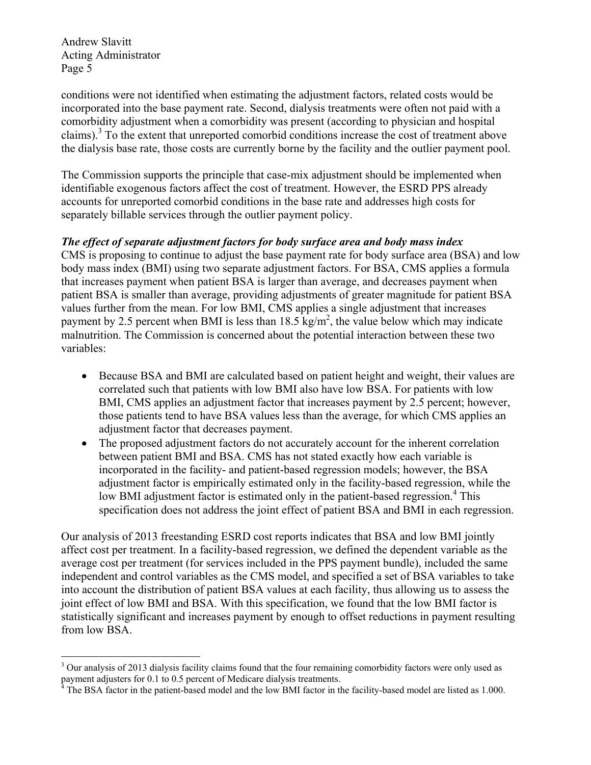1

conditions were not identified when estimating the adjustment factors, related costs would be incorporated into the base payment rate. Second, dialysis treatments were often not paid with a comorbidity adjustment when a comorbidity was present (according to physician and hospital claims).3 To the extent that unreported comorbid conditions increase the cost of treatment above the dialysis base rate, those costs are currently borne by the facility and the outlier payment pool.

The Commission supports the principle that case-mix adjustment should be implemented when identifiable exogenous factors affect the cost of treatment. However, the ESRD PPS already accounts for unreported comorbid conditions in the base rate and addresses high costs for separately billable services through the outlier payment policy.

#### *The effect of separate adjustment factors for body surface area and body mass index*

CMS is proposing to continue to adjust the base payment rate for body surface area (BSA) and low body mass index (BMI) using two separate adjustment factors. For BSA, CMS applies a formula that increases payment when patient BSA is larger than average, and decreases payment when patient BSA is smaller than average, providing adjustments of greater magnitude for patient BSA values further from the mean. For low BMI, CMS applies a single adjustment that increases payment by 2.5 percent when BMI is less than  $18.5 \text{ kg/m}^2$ , the value below which may indicate malnutrition. The Commission is concerned about the potential interaction between these two variables:

- Because BSA and BMI are calculated based on patient height and weight, their values are correlated such that patients with low BMI also have low BSA. For patients with low BMI, CMS applies an adjustment factor that increases payment by 2.5 percent; however, those patients tend to have BSA values less than the average, for which CMS applies an adjustment factor that decreases payment.
- The proposed adjustment factors do not accurately account for the inherent correlation between patient BMI and BSA. CMS has not stated exactly how each variable is incorporated in the facility- and patient-based regression models; however, the BSA adjustment factor is empirically estimated only in the facility-based regression, while the low BMI adjustment factor is estimated only in the patient-based regression.<sup>4</sup> This specification does not address the joint effect of patient BSA and BMI in each regression.

Our analysis of 2013 freestanding ESRD cost reports indicates that BSA and low BMI jointly affect cost per treatment. In a facility-based regression, we defined the dependent variable as the average cost per treatment (for services included in the PPS payment bundle), included the same independent and control variables as the CMS model, and specified a set of BSA variables to take into account the distribution of patient BSA values at each facility, thus allowing us to assess the joint effect of low BMI and BSA. With this specification, we found that the low BMI factor is statistically significant and increases payment by enough to offset reductions in payment resulting from low BSA.

<sup>&</sup>lt;sup>3</sup> Our analysis of 2013 dialysis facility claims found that the four remaining comorbidity factors were only used as payment adjusters for 0.1 to 0.5 percent of Medicare dialysis treatments.<br><sup>4</sup> The BSA fector in the patient beged model and the low BMI fector in the

The BSA factor in the patient-based model and the low BMI factor in the facility-based model are listed as 1.000.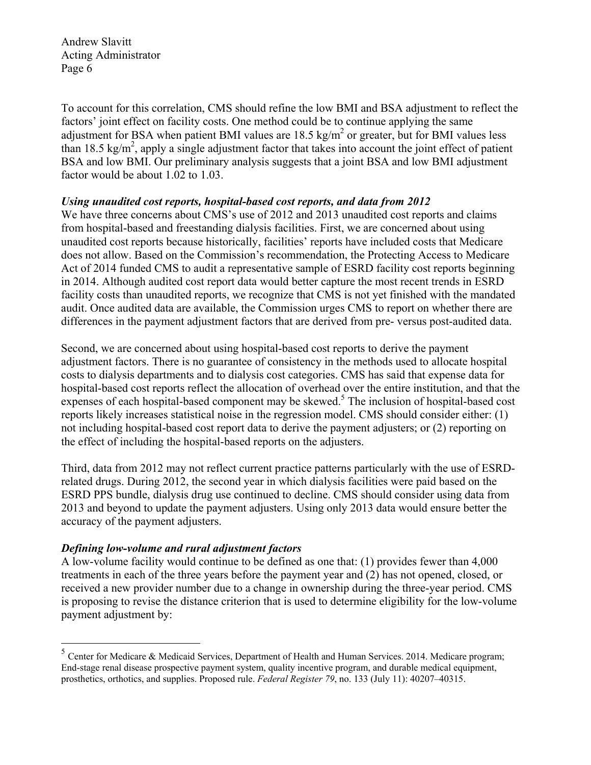To account for this correlation, CMS should refine the low BMI and BSA adjustment to reflect the factors' joint effect on facility costs. One method could be to continue applying the same adjustment for BSA when patient BMI values are  $18.5 \text{ kg/m}^2$  or greater, but for BMI values less than 18.5 kg/m<sup>2</sup>, apply a single adjustment factor that takes into account the joint effect of patient BSA and low BMI. Our preliminary analysis suggests that a joint BSA and low BMI adjustment factor would be about 1.02 to 1.03.

# *Using unaudited cost reports, hospital-based cost reports, and data from 2012*

We have three concerns about CMS's use of 2012 and 2013 unaudited cost reports and claims from hospital-based and freestanding dialysis facilities. First, we are concerned about using unaudited cost reports because historically, facilities' reports have included costs that Medicare does not allow. Based on the Commission's recommendation, the Protecting Access to Medicare Act of 2014 funded CMS to audit a representative sample of ESRD facility cost reports beginning in 2014. Although audited cost report data would better capture the most recent trends in ESRD facility costs than unaudited reports, we recognize that CMS is not yet finished with the mandated audit. Once audited data are available, the Commission urges CMS to report on whether there are differences in the payment adjustment factors that are derived from pre- versus post-audited data.

Second, we are concerned about using hospital-based cost reports to derive the payment adjustment factors. There is no guarantee of consistency in the methods used to allocate hospital costs to dialysis departments and to dialysis cost categories. CMS has said that expense data for hospital-based cost reports reflect the allocation of overhead over the entire institution, and that the expenses of each hospital-based component may be skewed.<sup>5</sup> The inclusion of hospital-based cost reports likely increases statistical noise in the regression model. CMS should consider either: (1) not including hospital-based cost report data to derive the payment adjusters; or (2) reporting on the effect of including the hospital-based reports on the adjusters.

Third, data from 2012 may not reflect current practice patterns particularly with the use of ESRDrelated drugs. During 2012, the second year in which dialysis facilities were paid based on the ESRD PPS bundle, dialysis drug use continued to decline. CMS should consider using data from 2013 and beyond to update the payment adjusters. Using only 2013 data would ensure better the accuracy of the payment adjusters.

# *Defining low-volume and rural adjustment factors*

<u>.</u>

A low-volume facility would continue to be defined as one that: (1) provides fewer than 4,000 treatments in each of the three years before the payment year and (2) has not opened, closed, or received a new provider number due to a change in ownership during the three-year period. CMS is proposing to revise the distance criterion that is used to determine eligibility for the low-volume payment adjustment by:

 $<sup>5</sup>$  Center for Medicare & Medicaid Services, Department of Health and Human Services. 2014. Medicare program;</sup> End-stage renal disease prospective payment system, quality incentive program, and durable medical equipment, prosthetics, orthotics, and supplies. Proposed rule. *Federal Register 79*, no. 133 (July 11): 40207–40315.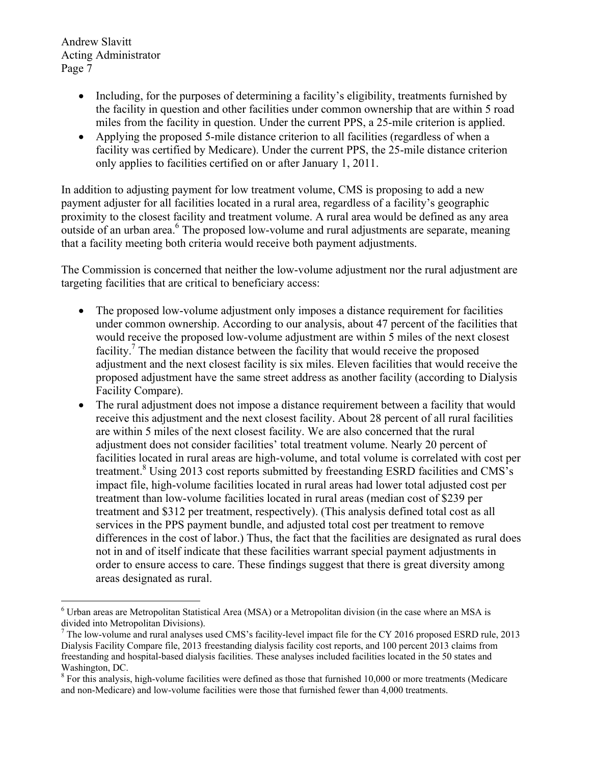1

- Including, for the purposes of determining a facility's eligibility, treatments furnished by the facility in question and other facilities under common ownership that are within 5 road miles from the facility in question. Under the current PPS, a 25-mile criterion is applied.
- Applying the proposed 5-mile distance criterion to all facilities (regardless of when a facility was certified by Medicare). Under the current PPS, the 25-mile distance criterion only applies to facilities certified on or after January 1, 2011.

In addition to adjusting payment for low treatment volume, CMS is proposing to add a new payment adjuster for all facilities located in a rural area, regardless of a facility's geographic proximity to the closest facility and treatment volume. A rural area would be defined as any area outside of an urban area.<sup>6</sup> The proposed low-volume and rural adjustments are separate, meaning that a facility meeting both criteria would receive both payment adjustments.

The Commission is concerned that neither the low-volume adjustment nor the rural adjustment are targeting facilities that are critical to beneficiary access:

- The proposed low-volume adjustment only imposes a distance requirement for facilities under common ownership. According to our analysis, about 47 percent of the facilities that would receive the proposed low-volume adjustment are within 5 miles of the next closest facility.<sup>7</sup> The median distance between the facility that would receive the proposed adjustment and the next closest facility is six miles. Eleven facilities that would receive the proposed adjustment have the same street address as another facility (according to Dialysis Facility Compare).
- The rural adjustment does not impose a distance requirement between a facility that would receive this adjustment and the next closest facility. About 28 percent of all rural facilities are within 5 miles of the next closest facility. We are also concerned that the rural adjustment does not consider facilities' total treatment volume. Nearly 20 percent of facilities located in rural areas are high-volume, and total volume is correlated with cost per treatment.<sup>8</sup> Using 2013 cost reports submitted by freestanding ESRD facilities and CMS's impact file, high-volume facilities located in rural areas had lower total adjusted cost per treatment than low-volume facilities located in rural areas (median cost of \$239 per treatment and \$312 per treatment, respectively). (This analysis defined total cost as all services in the PPS payment bundle, and adjusted total cost per treatment to remove differences in the cost of labor.) Thus, the fact that the facilities are designated as rural does not in and of itself indicate that these facilities warrant special payment adjustments in order to ensure access to care. These findings suggest that there is great diversity among areas designated as rural.

<sup>&</sup>lt;sup>6</sup> Urban areas are Metropolitan Statistical Area (MSA) or a Metropolitan division (in the case where an MSA is divided into Metropolitan Divisions).

<sup>&</sup>lt;sup>7</sup> The low-volume and rural analyses used CMS's facility-level impact file for the CY 2016 proposed ESRD rule, 2013 Dialysis Facility Compare file, 2013 freestanding dialysis facility cost reports, and 100 percent 2013 claims from freestanding and hospital-based dialysis facilities. These analyses included facilities located in the 50 states and Washington, DC.

 $8$  For this analysis, high-volume facilities were defined as those that furnished 10,000 or more treatments (Medicare and non-Medicare) and low-volume facilities were those that furnished fewer than 4,000 treatments.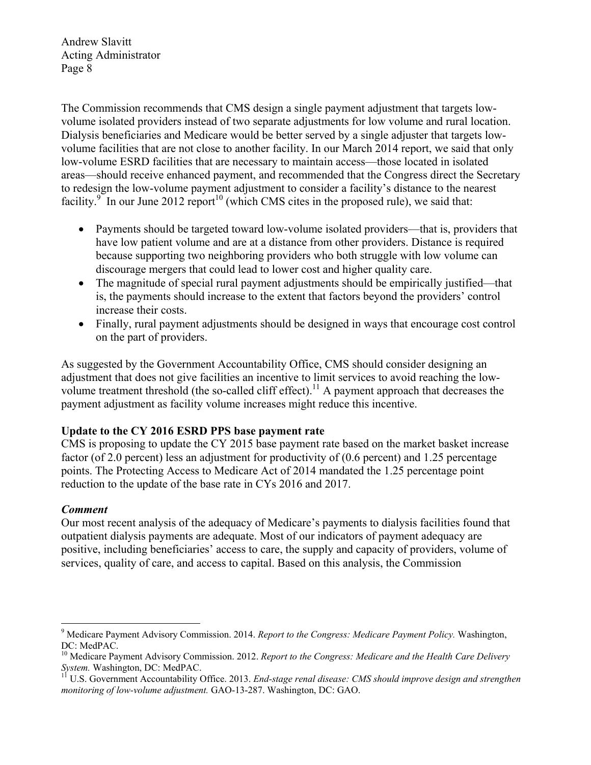The Commission recommends that CMS design a single payment adjustment that targets lowvolume isolated providers instead of two separate adjustments for low volume and rural location. Dialysis beneficiaries and Medicare would be better served by a single adjuster that targets lowvolume facilities that are not close to another facility. In our March 2014 report, we said that only low-volume ESRD facilities that are necessary to maintain access—those located in isolated areas—should receive enhanced payment, and recommended that the Congress direct the Secretary to redesign the low-volume payment adjustment to consider a facility's distance to the nearest facility.<sup>9</sup> In our June 2012 report<sup>10</sup> (which CMS cites in the proposed rule), we said that:

- Payments should be targeted toward low-volume isolated providers—that is, providers that have low patient volume and are at a distance from other providers. Distance is required because supporting two neighboring providers who both struggle with low volume can discourage mergers that could lead to lower cost and higher quality care.
- The magnitude of special rural payment adjustments should be empirically justified—that is, the payments should increase to the extent that factors beyond the providers' control increase their costs.
- Finally, rural payment adjustments should be designed in ways that encourage cost control on the part of providers.

As suggested by the Government Accountability Office, CMS should consider designing an adjustment that does not give facilities an incentive to limit services to avoid reaching the lowvolume treatment threshold (the so-called cliff effect).<sup>11</sup> A payment approach that decreases the payment adjustment as facility volume increases might reduce this incentive.

## **Update to the CY 2016 ESRD PPS base payment rate**

CMS is proposing to update the CY 2015 base payment rate based on the market basket increase factor (of 2.0 percent) less an adjustment for productivity of (0.6 percent) and 1.25 percentage points. The Protecting Access to Medicare Act of 2014 mandated the 1.25 percentage point reduction to the update of the base rate in CYs 2016 and 2017.

## *Comment*

Our most recent analysis of the adequacy of Medicare's payments to dialysis facilities found that outpatient dialysis payments are adequate. Most of our indicators of payment adequacy are positive, including beneficiaries' access to care, the supply and capacity of providers, volume of services, quality of care, and access to capital. Based on this analysis, the Commission

<sup>1</sup> <sup>9</sup> Medicare Payment Advisory Commission. 2014. *Report to the Congress: Medicare Payment Policy*. Washington, DC: MedPAC.

<sup>&</sup>lt;sup>10</sup> Medicare Payment Advisory Commission. 2012. *Report to the Congress: Medicare and the Health Care Delivery System.* Washington, DC: MedPAC.

<sup>&</sup>lt;sup>11</sup> U.S. Government Accountability Office. 2013. *End-stage renal disease: CMS should improve design and strengthen monitoring of low-volume adjustment.* GAO-13-287. Washington, DC: GAO.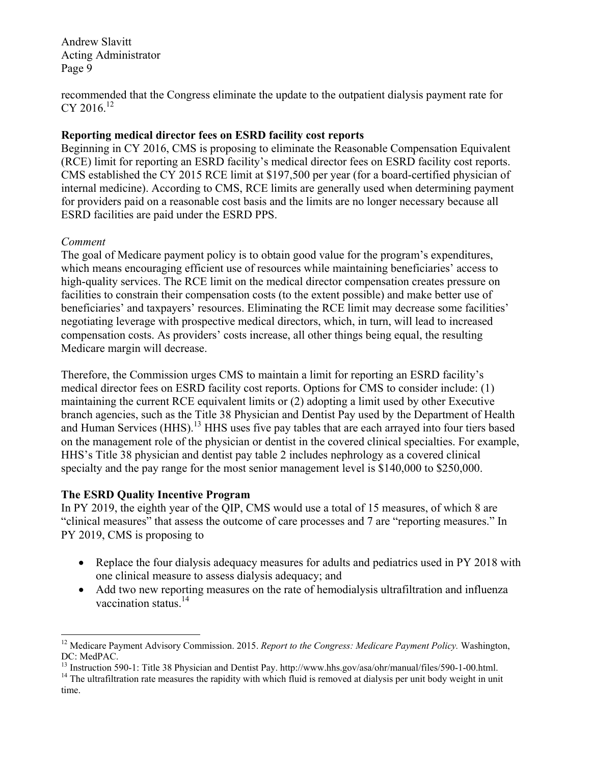recommended that the Congress eliminate the update to the outpatient dialysis payment rate for CY 2016. $12$ 

#### **Reporting medical director fees on ESRD facility cost reports**

Beginning in CY 2016, CMS is proposing to eliminate the Reasonable Compensation Equivalent (RCE) limit for reporting an ESRD facility's medical director fees on ESRD facility cost reports. CMS established the CY 2015 RCE limit at \$197,500 per year (for a board-certified physician of internal medicine). According to CMS, RCE limits are generally used when determining payment for providers paid on a reasonable cost basis and the limits are no longer necessary because all ESRD facilities are paid under the ESRD PPS.

#### *Comment*

1

The goal of Medicare payment policy is to obtain good value for the program's expenditures, which means encouraging efficient use of resources while maintaining beneficiaries' access to high-quality services. The RCE limit on the medical director compensation creates pressure on facilities to constrain their compensation costs (to the extent possible) and make better use of beneficiaries' and taxpayers' resources. Eliminating the RCE limit may decrease some facilities' negotiating leverage with prospective medical directors, which, in turn, will lead to increased compensation costs. As providers' costs increase, all other things being equal, the resulting Medicare margin will decrease.

Therefore, the Commission urges CMS to maintain a limit for reporting an ESRD facility's medical director fees on ESRD facility cost reports. Options for CMS to consider include: (1) maintaining the current RCE equivalent limits or (2) adopting a limit used by other Executive branch agencies, such as the Title 38 Physician and Dentist Pay used by the Department of Health and Human Services (HHS).<sup>13</sup> HHS uses five pay tables that are each arrayed into four tiers based on the management role of the physician or dentist in the covered clinical specialties. For example, HHS's Title 38 physician and dentist pay table 2 includes nephrology as a covered clinical specialty and the pay range for the most senior management level is \$140,000 to \$250,000.

## **The ESRD Quality Incentive Program**

In PY 2019, the eighth year of the QIP, CMS would use a total of 15 measures, of which 8 are "clinical measures" that assess the outcome of care processes and 7 are "reporting measures." In PY 2019, CMS is proposing to

- Replace the four dialysis adequacy measures for adults and pediatrics used in PY 2018 with one clinical measure to assess dialysis adequacy; and
- Add two new reporting measures on the rate of hemodialysis ultrafiltration and influenza vaccination status.<sup>14</sup>

<sup>&</sup>lt;sup>12</sup> Medicare Payment Advisory Commission. 2015. *Report to the Congress: Medicare Payment Policy*. Washington, DC: MedPAC.<br><sup>13</sup> Instruction 590-1: Title 38 Physician and Dentist Pay. http://www.hhs.gov/asa/ohr/manual/files/590-1-00.html.

<sup>&</sup>lt;sup>14</sup> The ultrafiltration rate measures the rapidity with which fluid is removed at dialysis per unit body weight in unit time.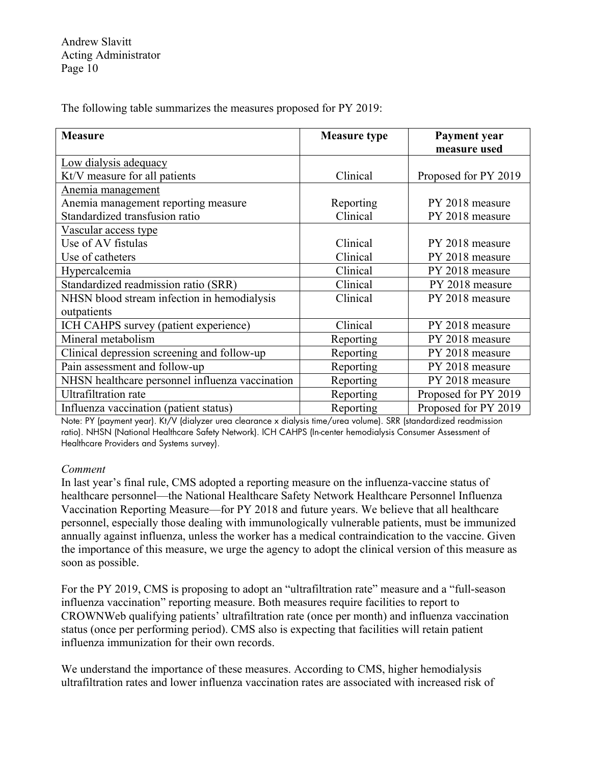The following table summarizes the measures proposed for PY 2019:

| <b>Measure</b>                                       | <b>Measure type</b> | Payment year<br>measure used |
|------------------------------------------------------|---------------------|------------------------------|
| Low dialysis adequacy                                |                     |                              |
| Kt/V measure for all patients                        | Clinical            | Proposed for PY 2019         |
| Anemia management                                    |                     |                              |
| Anemia management reporting measure                  | Reporting           | PY 2018 measure              |
| Standardized transfusion ratio                       | Clinical            | PY 2018 measure              |
| Vascular access type                                 |                     |                              |
| Use of AV fistulas                                   | Clinical            | PY 2018 measure              |
| Use of catheters                                     | Clinical            | PY 2018 measure              |
| Hypercalcemia                                        | Clinical            | PY 2018 measure              |
| Standardized readmission ratio (SRR)                 | Clinical            | PY 2018 measure              |
| NHSN blood stream infection in hemodialysis          | Clinical            | PY 2018 measure              |
| outpatients<br>ICH CAHPS survey (patient experience) | Clinical            | PY 2018 measure              |
|                                                      |                     |                              |
| Mineral metabolism                                   | Reporting           | PY 2018 measure              |
| Clinical depression screening and follow-up          | Reporting           | PY 2018 measure              |
| Pain assessment and follow-up                        | Reporting           | PY 2018 measure              |
| NHSN healthcare personnel influenza vaccination      | Reporting           | PY 2018 measure              |
| <b>Ultrafiltration</b> rate                          | Reporting           | Proposed for PY 2019         |
| Influenza vaccination (patient status)               | Reporting           | Proposed for PY 2019         |

Note: PY (payment year). Kt/V (dialyzer urea clearance x dialysis time/urea volume). SRR (standardized readmission ratio). NHSN (National Healthcare Safety Network). ICH CAHPS (In-center hemodialysis Consumer Assessment of Healthcare Providers and Systems survey).

#### *Comment*

In last year's final rule, CMS adopted a reporting measure on the influenza-vaccine status of healthcare personnel—the National Healthcare Safety Network Healthcare Personnel Influenza Vaccination Reporting Measure—for PY 2018 and future years. We believe that all healthcare personnel, especially those dealing with immunologically vulnerable patients, must be immunized annually against influenza, unless the worker has a medical contraindication to the vaccine. Given the importance of this measure, we urge the agency to adopt the clinical version of this measure as soon as possible.

For the PY 2019, CMS is proposing to adopt an "ultrafiltration rate" measure and a "full-season influenza vaccination" reporting measure. Both measures require facilities to report to CROWNWeb qualifying patients' ultrafiltration rate (once per month) and influenza vaccination status (once per performing period). CMS also is expecting that facilities will retain patient influenza immunization for their own records.

We understand the importance of these measures. According to CMS, higher hemodialysis ultrafiltration rates and lower influenza vaccination rates are associated with increased risk of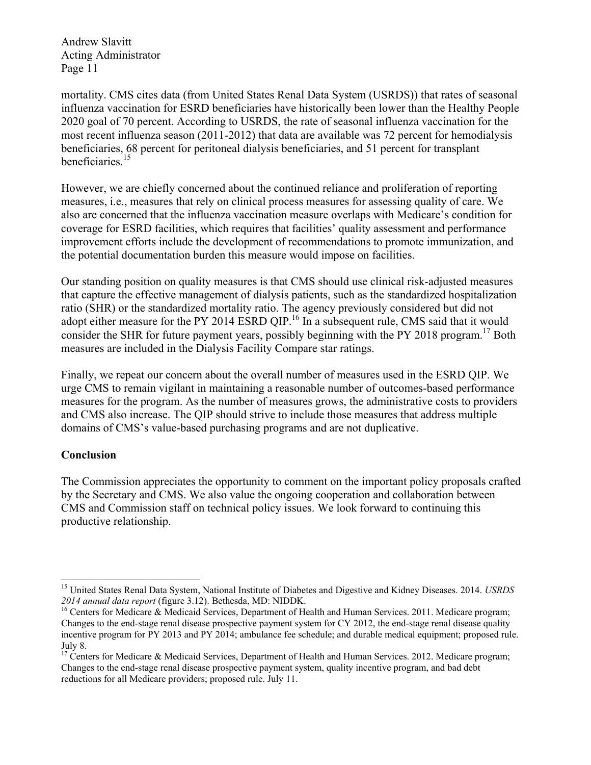mortality. CMS cites data (from United States Renal Data System (USRDS)) that rates of seasonal influenza vaccination for ESRD beneficiaries have historically been lower than the Healthy People 2020 goal of 70 percent. According to USRDS, the rate of seasonal influenza vaccination for the most recent influenza season (2011-2012) that data are available was 72 percent for hemodialysis beneficiaries, 68 percent for peritoneal dialysis beneficiaries, and 51 percent for transplant beneficiaries.<sup>15</sup>

However, we are chiefly concerned about the continued reliance and proliferation of reporting measures, i.e., measures that rely on clinical process measures for assessing quality of care. We also are concerned that the influenza vaccination measure overlaps with Medicare's condition for coverage for ESRD facilities, which requires that facilities' quality assessment and performance improvement efforts include the development of recommendations to promote immunization, and the potential documentation burden this measure would impose on facilities.

Our standing position on quality measures is that CMS should use clinical risk-adjusted measures that capture the effective management of dialysis patients, such as the standardized hospitalization ratio (SHR) or the standardized mortality ratio. The agency previously considered but did not adopt either measure for the PY 2014 ESRD QIP.<sup>16</sup> In a subsequent rule, CMS said that it would consider the SHR for future payment years, possibly beginning with the PY 2018 program.<sup>17</sup> Both measures are included in the Dialysis Facility Compare star ratings.

Finally, we repeat our concern about the overall number of measures used in the ESRD QIP. We urge CMS to remain vigilant in maintaining a reasonable number of outcomes-based performance measures for the program. As the number of measures grows, the administrative costs to providers and CMS also increase. The QIP should strive to include those measures that address multiple domains of CMS's value-based purchasing programs and are not duplicative.

#### **Conclusion**

1

The Commission appreciates the opportunity to comment on the important policy proposals crafted by the Secretary and CMS. We also value the ongoing cooperation and collaboration between CMS and Commission staff on technical policy issues. We look forward to continuing this productive relationship.

<sup>&</sup>lt;sup>15</sup> United States Renal Data System, National Institute of Diabetes and Digestive and Kidney Diseases. 2014. *USRDS* 2014 annual data report (figure 3.12). Bethesda, MD: NIDDK.

<sup>&</sup>lt;sup>16</sup> Centers for Medicare & Medicaid Services, Department of Health and Human Services. 2011. Medicare program; Changes to the end-stage renal disease prospective payment system for CY 2012, the end-stage renal disease quality incentive program for PY 2013 and PY 2014; ambulance fee schedule; and durable medical equipment; proposed rule. July 8.

<sup>&</sup>lt;sup>17</sup> Centers for Medicare & Medicaid Services, Department of Health and Human Services. 2012. Medicare program; Changes to the end-stage renal disease prospective payment system, quality incentive program, and bad debt reductions for all Medicare providers; proposed rule. July 11.